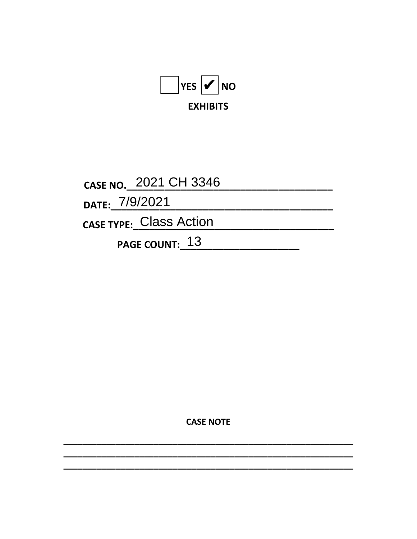

CASE NO. 2021 CH 3346 DATE: 7/9/2021 CASE TYPE: Class Action PAGE COUNT: 13

**CASE NOTE**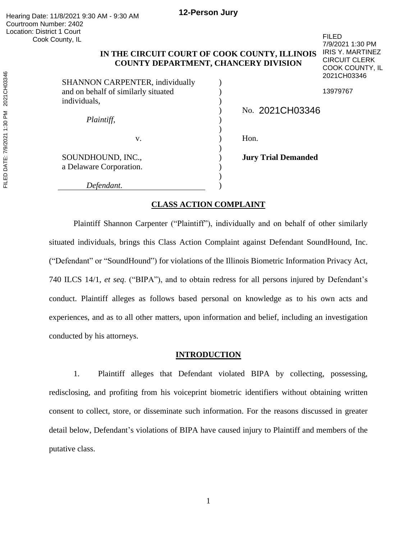FILED

7/9/2021 1:30 PM IRIS Y. MARTINEZ CIRCUIT CLERK COOK COUNTY, IL

# **IN THE CIRCUIT COURT OF COOK COUNTY, ILLINOIS COUNTY DEPARTMENT, CHANCERY DIVISION**

| SHANNON CARPENTER, individually              | 2021CH03346                |  |
|----------------------------------------------|----------------------------|--|
| and on behalf of similarly situated          | 13979767                   |  |
| individuals,                                 |                            |  |
| Plaintiff,                                   | No. 2021CH03346            |  |
| V.                                           | Hon.                       |  |
| SOUNDHOUND, INC.,<br>a Delaware Corporation. | <b>Jury Trial Demanded</b> |  |
| Defendant.                                   |                            |  |

# **CLASS ACTION COMPLAINT**

Plaintiff Shannon Carpenter ("Plaintiff"), individually and on behalf of other similarly situated individuals, brings this Class Action Complaint against Defendant SoundHound, Inc. ("Defendant" or "SoundHound") for violations of the Illinois Biometric Information Privacy Act, 740 ILCS 14/1, *et seq*. ("BIPA"), and to obtain redress for all persons injured by Defendant's conduct. Plaintiff alleges as follows based personal on knowledge as to his own acts and experiences, and as to all other matters, upon information and belief, including an investigation conducted by his attorneys.

## **INTRODUCTION**

1. Plaintiff alleges that Defendant violated BIPA by collecting, possessing, redisclosing, and profiting from his voiceprint biometric identifiers without obtaining written consent to collect, store, or disseminate such information. For the reasons discussed in greater detail below, Defendant's violations of BIPA have caused injury to Plaintiff and members of the putative class.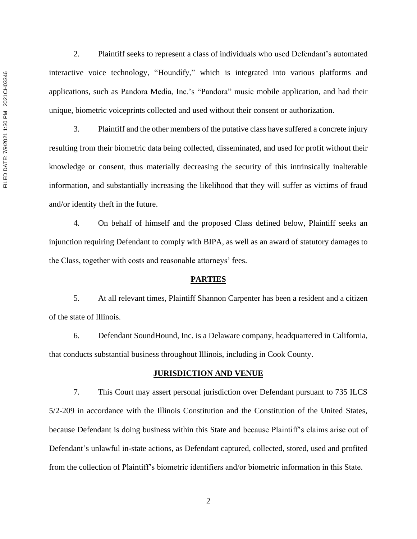2. Plaintiff seeks to represent a class of individuals who used Defendant's automated interactive voice technology, "Houndify," which is integrated into various platforms and applications, such as Pandora Media, Inc.'s "Pandora" music mobile application, and had their unique, biometric voiceprints collected and used without their consent or authorization.

3. Plaintiff and the other members of the putative class have suffered a concrete injury resulting from their biometric data being collected, disseminated, and used for profit without their knowledge or consent, thus materially decreasing the security of this intrinsically inalterable information, and substantially increasing the likelihood that they will suffer as victims of fraud and/or identity theft in the future.

4. On behalf of himself and the proposed Class defined below, Plaintiff seeks an injunction requiring Defendant to comply with BIPA, as well as an award of statutory damages to the Class, together with costs and reasonable attorneys' fees.

#### **PARTIES**

5. At all relevant times, Plaintiff Shannon Carpenter has been a resident and a citizen of the state of Illinois.

6. Defendant SoundHound, Inc. is a Delaware company, headquartered in California, that conducts substantial business throughout Illinois, including in Cook County.

## **JURISDICTION AND VENUE**

7. This Court may assert personal jurisdiction over Defendant pursuant to 735 ILCS 5/2-209 in accordance with the Illinois Constitution and the Constitution of the United States, because Defendant is doing business within this State and because Plaintiff's claims arise out of Defendant's unlawful in-state actions, as Defendant captured, collected, stored, used and profited from the collection of Plaintiff's biometric identifiers and/or biometric information in this State.

2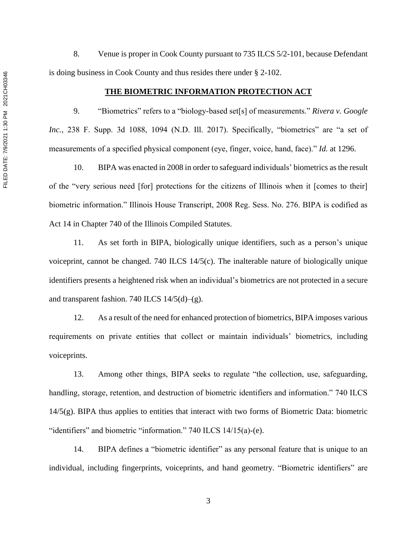8. Venue is proper in Cook County pursuant to 735 ILCS 5/2-101, because Defendant is doing business in Cook County and thus resides there under § 2-102.

### **THE BIOMETRIC INFORMATION PROTECTION ACT**

9. "Biometrics" refers to a "biology-based set[s] of measurements." *Rivera v. Google Inc.*, 238 F. Supp. 3d 1088, 1094 (N.D. Ill. 2017). Specifically, "biometrics" are "a set of measurements of a specified physical component (eye, finger, voice, hand, face)." *Id.* at 1296.

10. BIPA was enacted in 2008 in order to safeguard individuals' biometrics as the result of the "very serious need [for] protections for the citizens of Illinois when it [comes to their] biometric information." Illinois House Transcript, 2008 Reg. Sess. No. 276. BIPA is codified as Act 14 in Chapter 740 of the Illinois Compiled Statutes.

11. As set forth in BIPA, biologically unique identifiers, such as a person's unique voiceprint, cannot be changed. 740 ILCS 14/5(c). The inalterable nature of biologically unique identifiers presents a heightened risk when an individual's biometrics are not protected in a secure and transparent fashion. 740 ILCS  $14/5(d)$ –(g).

12. As a result of the need for enhanced protection of biometrics, BIPA imposes various requirements on private entities that collect or maintain individuals' biometrics, including voiceprints.

13. Among other things, BIPA seeks to regulate "the collection, use, safeguarding, handling, storage, retention, and destruction of biometric identifiers and information." 740 ILCS 14/5(g). BIPA thus applies to entities that interact with two forms of Biometric Data: biometric "identifiers" and biometric "information." 740 ILCS 14/15(a)-(e).

14. BIPA defines a "biometric identifier" as any personal feature that is unique to an individual, including fingerprints, voiceprints, and hand geometry. "Biometric identifiers" are

FILED DATE: 7/9/2021 1:30 PM 2021CH03346 FILED DATE: 7/9/2021 1:30 PM 2021CH03346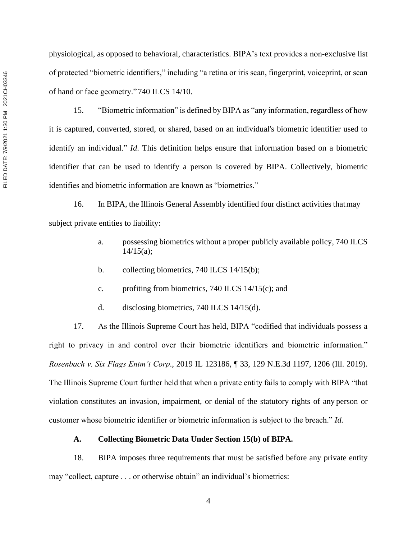physiological, as opposed to behavioral, characteristics. BIPA's text provides a non-exclusive list of protected "biometric identifiers," including "a retina or iris scan, fingerprint, voiceprint, or scan of hand or face geometry."740 ILCS 14/10.

15. "Biometric information" is defined by BIPA as "any information, regardless of how it is captured, converted, stored, or shared, based on an individual's biometric identifier used to identify an individual." *Id*. This definition helps ensure that information based on a biometric identifier that can be used to identify a person is covered by BIPA. Collectively, biometric identifies and biometric information are known as "biometrics."

16. In BIPA, the Illinois General Assembly identified four distinct activities thatmay subject private entities to liability:

- a. possessing biometrics without a proper publicly available policy, 740 ILCS  $14/15(a)$ ;
- b. collecting biometrics, 740 ILCS 14/15(b);
- c. profiting from biometrics, 740 ILCS 14/15(c); and
- d. disclosing biometrics, 740 ILCS 14/15(d).

17. As the Illinois Supreme Court has held, BIPA "codified that individuals possess a right to privacy in and control over their biometric identifiers and biometric information." *Rosenbach v. Six Flags Entm't Corp*., 2019 IL 123186, ¶ 33, 129 N.E.3d 1197, 1206 (Ill. 2019). The Illinois Supreme Court further held that when a private entity fails to comply with BIPA "that violation constitutes an invasion, impairment, or denial of the statutory rights of any person or customer whose biometric identifier or biometric information is subject to the breach." *Id.*

## **A. Collecting Biometric Data Under Section 15(b) of BIPA.**

18. BIPA imposes three requirements that must be satisfied before any private entity may "collect, capture . . . or otherwise obtain" an individual's biometrics: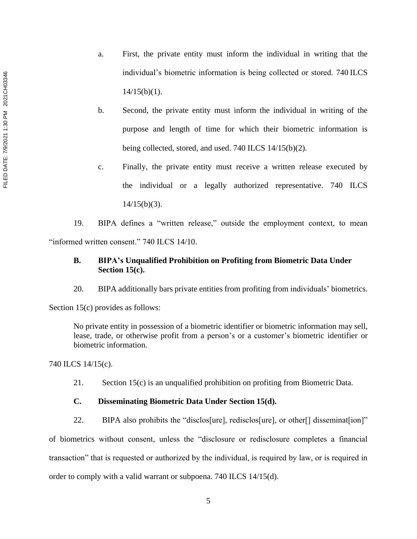- a. First, the private entity must inform the individual in writing that the individual's biometric information is being collected or stored. 740 ILCS  $14/15(b)(1)$ .
- b. Second, the private entity must inform the individual in writing of the purpose and length of time for which their biometric information is being collected, stored, and used. 740 ILCS 14/15(b)(2).
- c. Finally, the private entity must receive a written release executed by the individual or a legally authorized representative. 740 ILCS  $14/15(b)(3)$ .

19. BIPA defines a "written release," outside the employment context, to mean "informed written consent." 740 ILCS 14/10.

# **B. BIPA's Unqualified Prohibition on Profiting from Biometric Data Under Section 15(c).**

20. BIPA additionally bars private entities from profiting from individuals' biometrics.

Section 15(c) provides as follows:

No private entity in possession of a biometric identifier or biometric information may sell, lease, trade, or otherwise profit from a person's or a customer's biometric identifier or biometric information.

740 ILCS 14/15(c).

21. Section 15(c) is an unqualified prohibition on profiting from Biometric Data.

# **C. Disseminating Biometric Data Under Section 15(d).**

22. BIPA also prohibits the "disclos[ure], redisclos[ure], or other[] disseminat[ion]"

of biometrics without consent, unless the "disclosure or redisclosure completes a financial transaction" that is requested or authorized by the individual, is required by law, or is required in order to comply with a valid warrant or subpoena. 740 ILCS 14/15(d).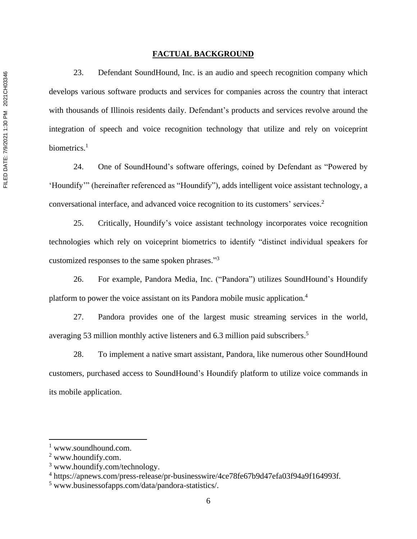### **FACTUAL BACKGROUND**

23. Defendant SoundHound, Inc. is an audio and speech recognition company which develops various software products and services for companies across the country that interact with thousands of Illinois residents daily. Defendant's products and services revolve around the integration of speech and voice recognition technology that utilize and rely on voiceprint biometrics.<sup>1</sup>

24. One of SoundHound's software offerings, coined by Defendant as "Powered by 'Houndify'" (hereinafter referenced as "Houndify"), adds intelligent voice assistant technology, a conversational interface, and advanced voice recognition to its customers' services. 2

25. Critically, Houndify's voice assistant technology incorporates voice recognition technologies which rely on voiceprint biometrics to identify "distinct individual speakers for customized responses to the same spoken phrases."<sup>3</sup>

26. For example, Pandora Media, Inc. ("Pandora") utilizes SoundHound's Houndify platform to power the voice assistant on its Pandora mobile music application. 4

27. Pandora provides one of the largest music streaming services in the world, averaging 53 million monthly active listeners and 6.3 million paid subscribers.<sup>5</sup>

28. To implement a native smart assistant, Pandora, like numerous other SoundHound customers, purchased access to SoundHound's Houndify platform to utilize voice commands in its mobile application.

<sup>&</sup>lt;sup>1</sup> www.soundhound.com.

<sup>2</sup> www.houndify.com.

<sup>3</sup> www.houndify.com/technology.

<sup>4</sup> https://apnews.com/press-release/pr-businesswire/4ce78fe67b9d47efa03f94a9f164993f*.*

<sup>5</sup> www.businessofapps.com/data/pandora-statistics/.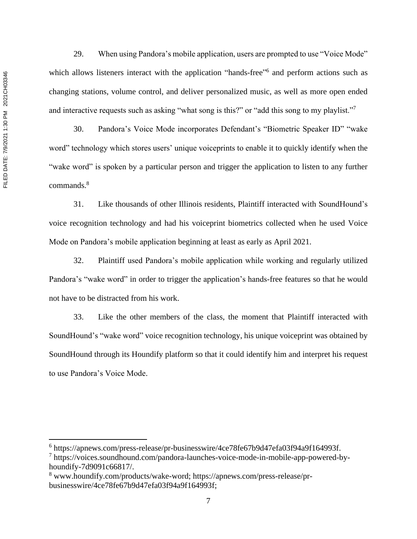29. When using Pandora's mobile application, users are prompted to use "Voice Mode" which allows listeners interact with the application "hands-free"<sup>6</sup> and perform actions such as changing stations, volume control, and deliver personalized music, as well as more open ended and interactive requests such as asking "what song is this?" or "add this song to my playlist."

30. Pandora's Voice Mode incorporates Defendant's "Biometric Speaker ID" "wake word" technology which stores users' unique voiceprints to enable it to quickly identify when the "wake word" is spoken by a particular person and trigger the application to listen to any further commands. 8

31. Like thousands of other Illinois residents, Plaintiff interacted with SoundHound's voice recognition technology and had his voiceprint biometrics collected when he used Voice Mode on Pandora's mobile application beginning at least as early as April 2021.

32. Plaintiff used Pandora's mobile application while working and regularly utilized Pandora's "wake word" in order to trigger the application's hands-free features so that he would not have to be distracted from his work.

33. Like the other members of the class, the moment that Plaintiff interacted with SoundHound's "wake word" voice recognition technology, his unique voiceprint was obtained by SoundHound through its Houndify platform so that it could identify him and interpret his request to use Pandora's Voice Mode.

<sup>6</sup> https://apnews.com/press-release/pr-businesswire/4ce78fe67b9d47efa03f94a9f164993f. <sup>7</sup> https://voices.soundhound.com/pandora-launches-voice-mode-in-mobile-app-powered-byhoundify-7d9091c66817/.

<sup>8</sup> www.houndify.com/products/wake-word; https://apnews.com/press-release/prbusinesswire/4ce78fe67b9d47efa03f94a9f164993f;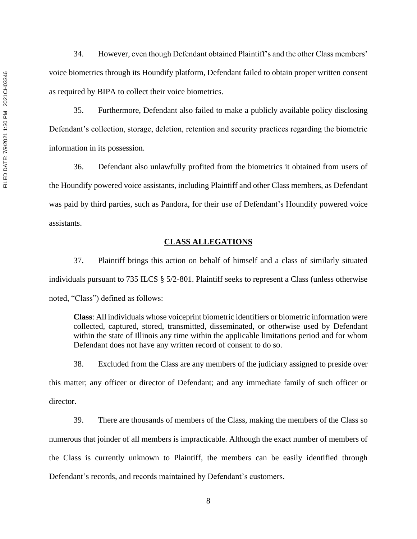34. However, even though Defendant obtained Plaintiff's and the other Class members' voice biometrics through its Houndify platform, Defendant failed to obtain proper written consent as required by BIPA to collect their voice biometrics.

35. Furthermore, Defendant also failed to make a publicly available policy disclosing Defendant's collection, storage, deletion, retention and security practices regarding the biometric information in its possession.

36. Defendant also unlawfully profited from the biometrics it obtained from users of the Houndify powered voice assistants, including Plaintiff and other Class members, as Defendant was paid by third parties, such as Pandora, for their use of Defendant's Houndify powered voice assistants.

# **CLASS ALLEGATIONS**

37. Plaintiff brings this action on behalf of himself and a class of similarly situated individuals pursuant to 735 ILCS § 5/2-801. Plaintiff seeks to represent a Class (unless otherwise noted, "Class") defined as follows:

**Class**: All individuals whose voiceprint biometric identifiers or biometric information were collected, captured, stored, transmitted, disseminated, or otherwise used by Defendant within the state of Illinois any time within the applicable limitations period and for whom Defendant does not have any written record of consent to do so.

38. Excluded from the Class are any members of the judiciary assigned to preside over this matter; any officer or director of Defendant; and any immediate family of such officer or director.

39. There are thousands of members of the Class, making the members of the Class so numerous that joinder of all members is impracticable. Although the exact number of members of the Class is currently unknown to Plaintiff, the members can be easily identified through Defendant's records, and records maintained by Defendant's customers.

8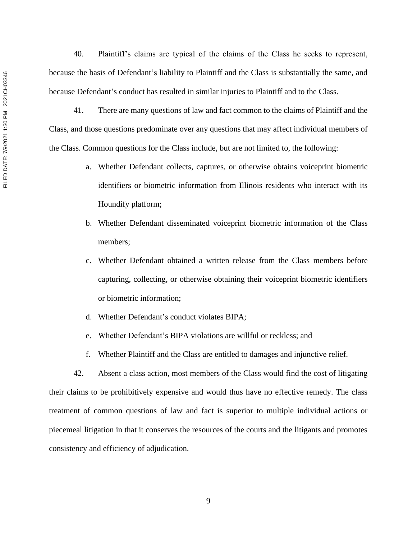40. Plaintiff's claims are typical of the claims of the Class he seeks to represent, because the basis of Defendant's liability to Plaintiff and the Class is substantially the same, and because Defendant's conduct has resulted in similar injuries to Plaintiff and to the Class.

41. There are many questions of law and fact common to the claims of Plaintiff and the Class, and those questions predominate over any questions that may affect individual members of the Class. Common questions for the Class include, but are not limited to, the following:

- a. Whether Defendant collects, captures, or otherwise obtains voiceprint biometric identifiers or biometric information from Illinois residents who interact with its Houndify platform;
- b. Whether Defendant disseminated voiceprint biometric information of the Class members;
- c. Whether Defendant obtained a written release from the Class members before capturing, collecting, or otherwise obtaining their voiceprint biometric identifiers or biometric information;
- d. Whether Defendant's conduct violates BIPA;
- e. Whether Defendant's BIPA violations are willful or reckless; and
- f. Whether Plaintiff and the Class are entitled to damages and injunctive relief.

42. Absent a class action, most members of the Class would find the cost of litigating their claims to be prohibitively expensive and would thus have no effective remedy. The class treatment of common questions of law and fact is superior to multiple individual actions or piecemeal litigation in that it conserves the resources of the courts and the litigants and promotes consistency and efficiency of adjudication.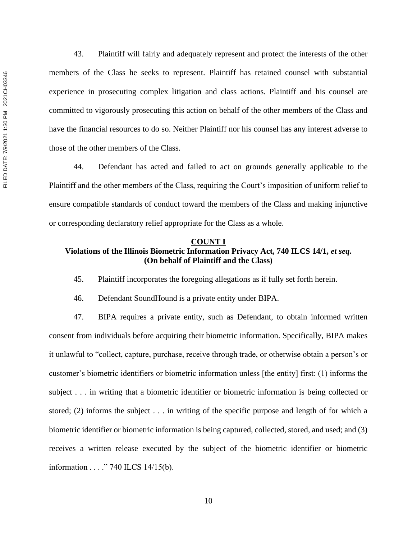43. Plaintiff will fairly and adequately represent and protect the interests of the other members of the Class he seeks to represent. Plaintiff has retained counsel with substantial experience in prosecuting complex litigation and class actions. Plaintiff and his counsel are committed to vigorously prosecuting this action on behalf of the other members of the Class and have the financial resources to do so. Neither Plaintiff nor his counsel has any interest adverse to those of the other members of the Class.

44. Defendant has acted and failed to act on grounds generally applicable to the Plaintiff and the other members of the Class, requiring the Court's imposition of uniform relief to ensure compatible standards of conduct toward the members of the Class and making injunctive or corresponding declaratory relief appropriate for the Class as a whole.

## **COUNT I Violations of the Illinois Biometric Information Privacy Act, 740 ILCS 14/1,** *et seq***. (On behalf of Plaintiff and the Class)**

45. Plaintiff incorporates the foregoing allegations as if fully set forth herein.

46. Defendant SoundHound is a private entity under BIPA.

47. BIPA requires a private entity, such as Defendant, to obtain informed written consent from individuals before acquiring their biometric information. Specifically, BIPA makes it unlawful to "collect, capture, purchase, receive through trade, or otherwise obtain a person's or customer's biometric identifiers or biometric information unless [the entity] first: (1) informs the subject . . . in writing that a biometric identifier or biometric information is being collected or stored; (2) informs the subject . . . in writing of the specific purpose and length of for which a biometric identifier or biometric information is being captured, collected, stored, and used; and (3) receives a written release executed by the subject of the biometric identifier or biometric information . . . ." 740 ILCS 14/15(b).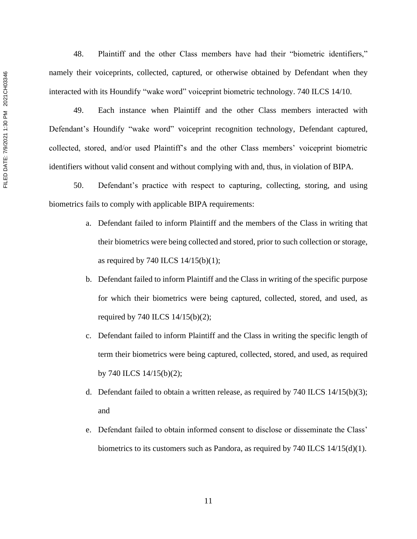FILED DATE: 7/9/2021 1:30 PM 2021CH03346 FILED DATE: 7/9/2021 1:30 PM 2021CH03346

48. Plaintiff and the other Class members have had their "biometric identifiers," namely their voiceprints, collected, captured, or otherwise obtained by Defendant when they interacted with its Houndify "wake word" voiceprint biometric technology. 740 ILCS 14/10.

49. Each instance when Plaintiff and the other Class members interacted with Defendant's Houndify "wake word" voiceprint recognition technology, Defendant captured, collected, stored, and/or used Plaintiff's and the other Class members' voiceprint biometric identifiers without valid consent and without complying with and, thus, in violation of BIPA.

50. Defendant's practice with respect to capturing, collecting, storing, and using biometrics fails to comply with applicable BIPA requirements:

- a. Defendant failed to inform Plaintiff and the members of the Class in writing that their biometrics were being collected and stored, prior to such collection or storage, as required by 740 ILCS  $14/15(b)(1)$ ;
- b. Defendant failed to inform Plaintiff and the Class in writing of the specific purpose for which their biometrics were being captured, collected, stored, and used, as required by 740 ILCS 14/15(b)(2);
- c. Defendant failed to inform Plaintiff and the Class in writing the specific length of term their biometrics were being captured, collected, stored, and used, as required by 740 ILCS 14/15(b)(2);
- d. Defendant failed to obtain a written release, as required by  $740$  ILCS  $14/15(b)(3)$ ; and
- e. Defendant failed to obtain informed consent to disclose or disseminate the Class' biometrics to its customers such as Pandora, as required by 740 ILCS 14/15(d)(1).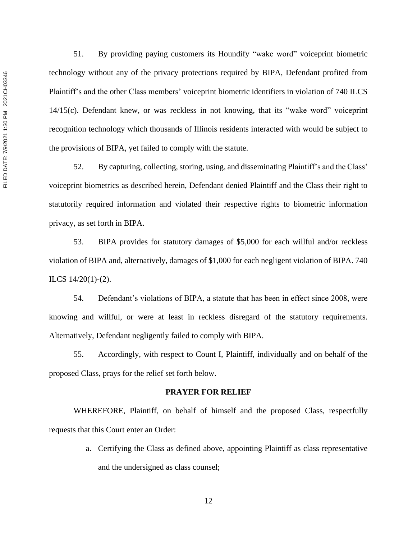51. By providing paying customers its Houndify "wake word" voiceprint biometric technology without any of the privacy protections required by BIPA, Defendant profited from Plaintiff's and the other Class members' voiceprint biometric identifiers in violation of 740 ILCS 14/15(c). Defendant knew, or was reckless in not knowing, that its "wake word" voiceprint recognition technology which thousands of Illinois residents interacted with would be subject to the provisions of BIPA, yet failed to comply with the statute.

52. By capturing, collecting, storing, using, and disseminating Plaintiff's and the Class' voiceprint biometrics as described herein, Defendant denied Plaintiff and the Class their right to statutorily required information and violated their respective rights to biometric information privacy, as set forth in BIPA.

53. BIPA provides for statutory damages of \$5,000 for each willful and/or reckless violation of BIPA and, alternatively, damages of \$1,000 for each negligent violation of BIPA. 740 ILCS 14/20(1)-(2).

54. Defendant's violations of BIPA, a statute that has been in effect since 2008, were knowing and willful, or were at least in reckless disregard of the statutory requirements. Alternatively, Defendant negligently failed to comply with BIPA.

55. Accordingly, with respect to Count I, Plaintiff, individually and on behalf of the proposed Class, prays for the relief set forth below.

#### **PRAYER FOR RELIEF**

WHEREFORE, Plaintiff, on behalf of himself and the proposed Class, respectfully requests that this Court enter an Order:

> a. Certifying the Class as defined above, appointing Plaintiff as class representative and the undersigned as class counsel;

FILED DATE: 7/9/2021 1:30 PM 2021CH03346 FILED DATE: 7/9/2021 1:30 PM 2021CH03346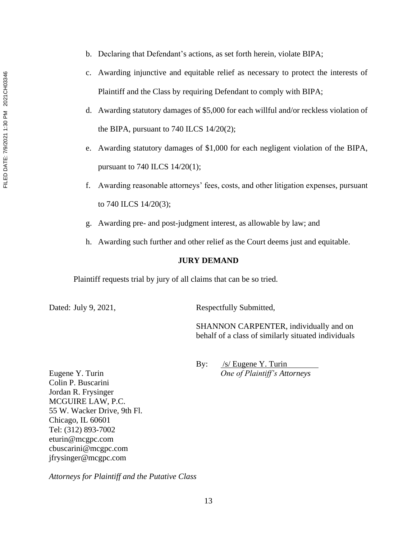- b. Declaring that Defendant's actions, as set forth herein, violate BIPA;
- c. Awarding injunctive and equitable relief as necessary to protect the interests of Plaintiff and the Class by requiring Defendant to comply with BIPA;
- d. Awarding statutory damages of \$5,000 for each willful and/or reckless violation of the BIPA, pursuant to 740 ILCS 14/20(2);
- e. Awarding statutory damages of \$1,000 for each negligent violation of the BIPA, pursuant to 740 ILCS 14/20(1);
- f. Awarding reasonable attorneys' fees, costs, and other litigation expenses, pursuant to 740 ILCS 14/20(3);
- g. Awarding pre- and post-judgment interest, as allowable by law; and
- h. Awarding such further and other relief as the Court deems just and equitable.

## **JURY DEMAND**

Plaintiff requests trial by jury of all claims that can be so tried.

Dated: July 9, 2021, Respectfully Submitted,

SHANNON CARPENTER, individually and on behalf of a class of similarly situated individuals

By: /s/ Eugene Y. Turin Eugene Y. Turin *One of Plaintiff's Attorneys*

Colin P. Buscarini Jordan R. Frysinger MCGUIRE LAW, P.C. 55 W. Wacker Drive, 9th Fl. Chicago, IL 60601 Tel: (312) 893-7002 eturin@mcgpc.com cbuscarini@mcgpc.com jfrysinger@mcgpc.com

*Attorneys for Plaintiff and the Putative Class*